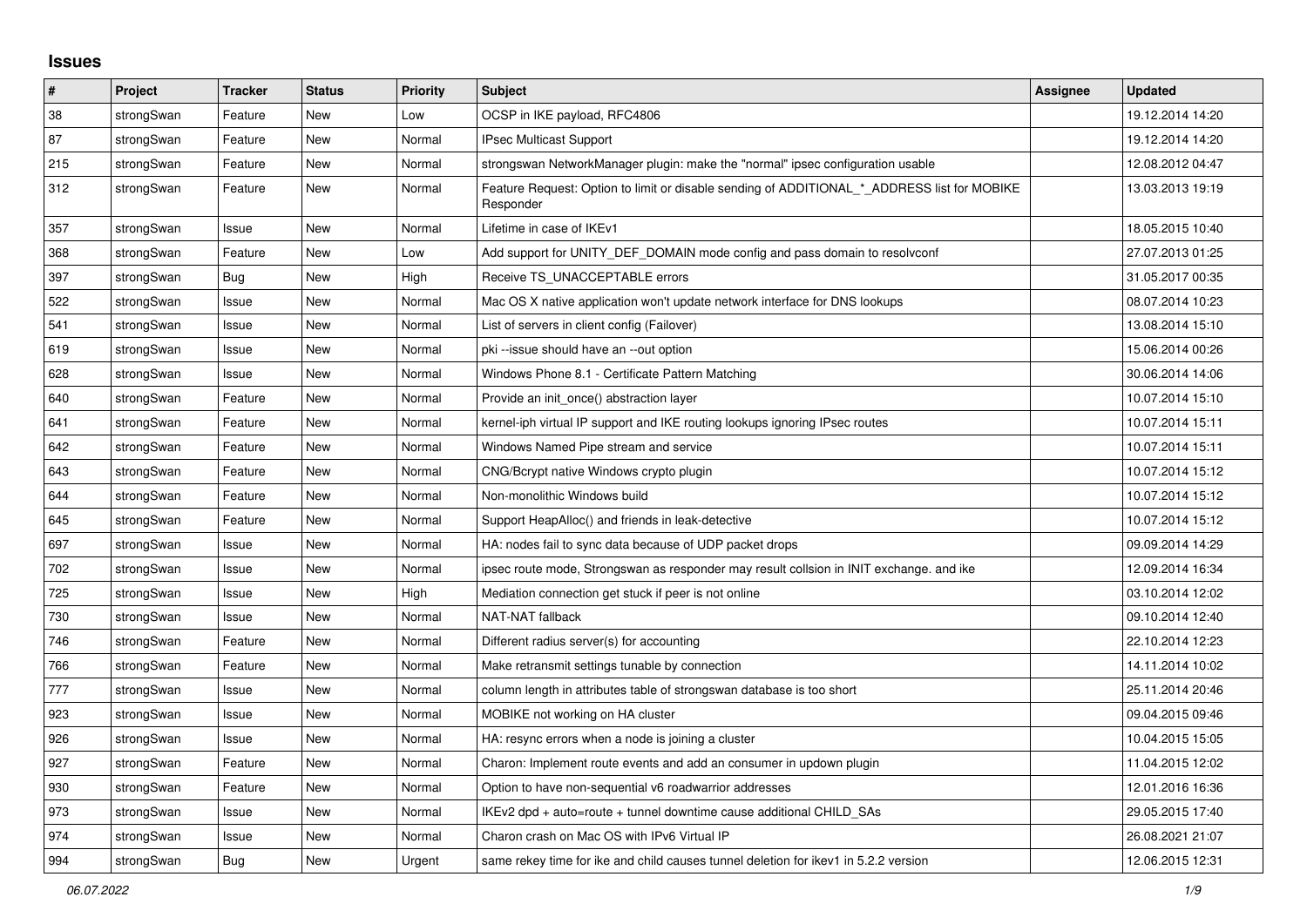## **Issues**

| ∦   | Project    | <b>Tracker</b> | <b>Status</b> | <b>Priority</b> | <b>Subject</b>                                                                                           | Assignee | <b>Updated</b>   |
|-----|------------|----------------|---------------|-----------------|----------------------------------------------------------------------------------------------------------|----------|------------------|
| 38  | strongSwan | Feature        | <b>New</b>    | Low             | OCSP in IKE payload, RFC4806                                                                             |          | 19.12.2014 14:20 |
| 87  | strongSwan | Feature        | <b>New</b>    | Normal          | <b>IPsec Multicast Support</b>                                                                           |          | 19.12.2014 14:20 |
| 215 | strongSwan | Feature        | New           | Normal          | strongswan NetworkManager plugin: make the "normal" ipsec configuration usable                           |          | 12.08.2012 04:47 |
| 312 | strongSwan | Feature        | New           | Normal          | Feature Request: Option to limit or disable sending of ADDITIONAL * ADDRESS list for MOBIKE<br>Responder |          | 13.03.2013 19:19 |
| 357 | strongSwan | Issue          | <b>New</b>    | Normal          | Lifetime in case of IKEv1                                                                                |          | 18.05.2015 10:40 |
| 368 | strongSwan | Feature        | <b>New</b>    | Low             | Add support for UNITY DEF DOMAIN mode config and pass domain to resolvconf                               |          | 27.07.2013 01:25 |
| 397 | strongSwan | Bug            | <b>New</b>    | High            | Receive TS UNACCEPTABLE errors                                                                           |          | 31.05.2017 00:35 |
| 522 | strongSwan | Issue          | <b>New</b>    | Normal          | Mac OS X native application won't update network interface for DNS lookups                               |          | 08.07.2014 10:23 |
| 541 | strongSwan | Issue          | New           | Normal          | List of servers in client config (Failover)                                                              |          | 13.08.2014 15:10 |
| 619 | strongSwan | Issue          | <b>New</b>    | Normal          | pki --issue should have an --out option                                                                  |          | 15.06.2014 00:26 |
| 628 | strongSwan | Issue          | <b>New</b>    | Normal          | Windows Phone 8.1 - Certificate Pattern Matching                                                         |          | 30.06.2014 14:06 |
| 640 | strongSwan | Feature        | New           | Normal          | Provide an init once() abstraction layer                                                                 |          | 10.07.2014 15:10 |
| 641 | strongSwan | Feature        | <b>New</b>    | Normal          | kernel-iph virtual IP support and IKE routing lookups ignoring IPsec routes                              |          | 10.07.2014 15:11 |
| 642 | strongSwan | Feature        | New           | Normal          | Windows Named Pipe stream and service                                                                    |          | 10.07.2014 15:11 |
| 643 | strongSwan | Feature        | New           | Normal          | CNG/Bcrypt native Windows crypto plugin                                                                  |          | 10.07.2014 15:12 |
| 644 | strongSwan | Feature        | <b>New</b>    | Normal          | Non-monolithic Windows build                                                                             |          | 10.07.2014 15:12 |
| 645 | strongSwan | Feature        | New           | Normal          | Support HeapAlloc() and friends in leak-detective                                                        |          | 10.07.2014 15:12 |
| 697 | strongSwan | Issue          | New           | Normal          | HA: nodes fail to sync data because of UDP packet drops                                                  |          | 09.09.2014 14:29 |
| 702 | strongSwan | Issue          | New           | Normal          | ipsec route mode, Strongswan as responder may result collsion in INIT exchange. and ike                  |          | 12.09.2014 16:34 |
| 725 | strongSwan | Issue          | New           | High            | Mediation connection get stuck if peer is not online                                                     |          | 03.10.2014 12:02 |
| 730 | strongSwan | Issue          | <b>New</b>    | Normal          | NAT-NAT fallback                                                                                         |          | 09.10.2014 12:40 |
| 746 | strongSwan | Feature        | New           | Normal          | Different radius server(s) for accounting                                                                |          | 22.10.2014 12:23 |
| 766 | strongSwan | Feature        | New           | Normal          | Make retransmit settings tunable by connection                                                           |          | 14.11.2014 10:02 |
| 777 | strongSwan | Issue          | <b>New</b>    | Normal          | column length in attributes table of strongswan database is too short                                    |          | 25.11.2014 20:46 |
| 923 | strongSwan | Issue          | <b>New</b>    | Normal          | MOBIKE not working on HA cluster                                                                         |          | 09.04.2015 09:46 |
| 926 | strongSwan | lssue          | <b>New</b>    | Normal          | HA: resync errors when a node is joining a cluster                                                       |          | 10.04.2015 15:05 |
| 927 | strongSwan | Feature        | <b>New</b>    | Normal          | Charon: Implement route events and add an consumer in updown plugin                                      |          | 11.04.2015 12:02 |
| 930 | strongSwan | Feature        | <b>New</b>    | Normal          | Option to have non-sequential v6 roadwarrior addresses                                                   |          | 12.01.2016 16:36 |
| 973 | strongSwan | Issue          | <b>New</b>    | Normal          | IKEv2 dpd + auto=route + tunnel downtime cause additional CHILD_SAs                                      |          | 29.05.2015 17:40 |
| 974 | strongSwan | Issue          | <b>New</b>    | Normal          | Charon crash on Mac OS with IPv6 Virtual IP                                                              |          | 26.08.2021 21:07 |
| 994 | strongSwan | <b>Bug</b>     | <b>New</b>    | Urgent          | same rekey time for ike and child causes tunnel deletion for ikey1 in 5.2.2 version                      |          | 12.06.2015 12:31 |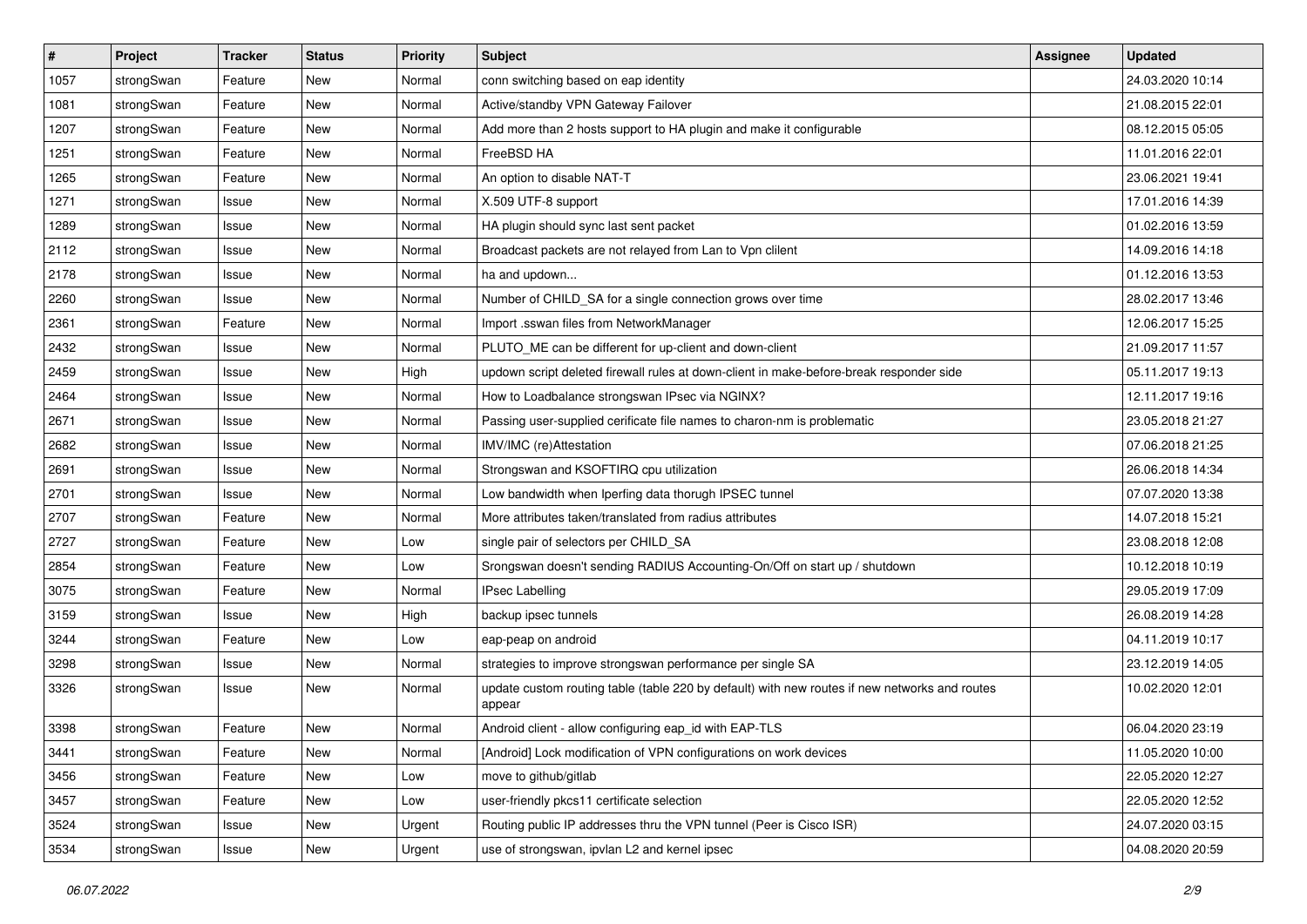| $\vert$ # | Project    | <b>Tracker</b> | <b>Status</b> | <b>Priority</b> | <b>Subject</b>                                                                                          | <b>Assignee</b> | <b>Updated</b>   |
|-----------|------------|----------------|---------------|-----------------|---------------------------------------------------------------------------------------------------------|-----------------|------------------|
| 1057      | strongSwan | Feature        | New           | Normal          | conn switching based on eap identity                                                                    |                 | 24.03.2020 10:14 |
| 1081      | strongSwan | Feature        | New           | Normal          | Active/standby VPN Gateway Failover                                                                     |                 | 21.08.2015 22:01 |
| 1207      | strongSwan | Feature        | New           | Normal          | Add more than 2 hosts support to HA plugin and make it configurable                                     |                 | 08.12.2015 05:05 |
| 1251      | strongSwan | Feature        | New           | Normal          | FreeBSD HA                                                                                              |                 | 11.01.2016 22:01 |
| 1265      | strongSwan | Feature        | New           | Normal          | An option to disable NAT-T                                                                              |                 | 23.06.2021 19:41 |
| 1271      | strongSwan | Issue          | New           | Normal          | X.509 UTF-8 support                                                                                     |                 | 17.01.2016 14:39 |
| 1289      | strongSwan | Issue          | New           | Normal          | HA plugin should sync last sent packet                                                                  |                 | 01.02.2016 13:59 |
| 2112      | strongSwan | Issue          | New           | Normal          | Broadcast packets are not relayed from Lan to Vpn clilent                                               |                 | 14.09.2016 14:18 |
| 2178      | strongSwan | Issue          | New           | Normal          | ha and updown                                                                                           |                 | 01.12.2016 13:53 |
| 2260      | strongSwan | Issue          | New           | Normal          | Number of CHILD_SA for a single connection grows over time                                              |                 | 28.02.2017 13:46 |
| 2361      | strongSwan | Feature        | New           | Normal          | Import .sswan files from NetworkManager                                                                 |                 | 12.06.2017 15:25 |
| 2432      | strongSwan | Issue          | <b>New</b>    | Normal          | PLUTO_ME can be different for up-client and down-client                                                 |                 | 21.09.2017 11:57 |
| 2459      | strongSwan | Issue          | New           | High            | updown script deleted firewall rules at down-client in make-before-break responder side                 |                 | 05.11.2017 19:13 |
| 2464      | strongSwan | Issue          | New           | Normal          | How to Loadbalance strongswan IPsec via NGINX?                                                          |                 | 12.11.2017 19:16 |
| 2671      | strongSwan | Issue          | <b>New</b>    | Normal          | Passing user-supplied cerificate file names to charon-nm is problematic                                 |                 | 23.05.2018 21:27 |
| 2682      | strongSwan | Issue          | New           | Normal          | IMV/IMC (re)Attestation                                                                                 |                 | 07.06.2018 21:25 |
| 2691      | strongSwan | Issue          | New           | Normal          | Strongswan and KSOFTIRQ cpu utilization                                                                 |                 | 26.06.2018 14:34 |
| 2701      | strongSwan | Issue          | New           | Normal          | Low bandwidth when Iperfing data thorugh IPSEC tunnel                                                   |                 | 07.07.2020 13:38 |
| 2707      | strongSwan | Feature        | New           | Normal          | More attributes taken/translated from radius attributes                                                 |                 | 14.07.2018 15:21 |
| 2727      | strongSwan | Feature        | New           | Low             | single pair of selectors per CHILD_SA                                                                   |                 | 23.08.2018 12:08 |
| 2854      | strongSwan | Feature        | New           | Low             | Srongswan doesn't sending RADIUS Accounting-On/Off on start up / shutdown                               |                 | 10.12.2018 10:19 |
| 3075      | strongSwan | Feature        | New           | Normal          | <b>IPsec Labelling</b>                                                                                  |                 | 29.05.2019 17:09 |
| 3159      | strongSwan | Issue          | New           | High            | backup ipsec tunnels                                                                                    |                 | 26.08.2019 14:28 |
| 3244      | strongSwan | Feature        | New           | Low             | eap-peap on android                                                                                     |                 | 04.11.2019 10:17 |
| 3298      | strongSwan | Issue          | New           | Normal          | strategies to improve strongswan performance per single SA                                              |                 | 23.12.2019 14:05 |
| 3326      | strongSwan | Issue          | New           | Normal          | update custom routing table (table 220 by default) with new routes if new networks and routes<br>appear |                 | 10.02.2020 12:01 |
| 3398      | strongSwan | Feature        | New           | Normal          | Android client - allow configuring eap_id with EAP-TLS                                                  |                 | 06.04.2020 23:19 |
| 3441      | strongSwan | Feature        | New           | Normal          | [Android] Lock modification of VPN configurations on work devices                                       |                 | 11.05.2020 10:00 |
| 3456      | strongSwan | Feature        | New           | Low             | move to github/gitlab                                                                                   |                 | 22.05.2020 12:27 |
| 3457      | strongSwan | Feature        | New           | Low             | user-friendly pkcs11 certificate selection                                                              |                 | 22.05.2020 12:52 |
| 3524      | strongSwan | Issue          | New           | Urgent          | Routing public IP addresses thru the VPN tunnel (Peer is Cisco ISR)                                     |                 | 24.07.2020 03:15 |
| 3534      | strongSwan | Issue          | New           | Urgent          | use of strongswan, ipvlan L2 and kernel ipsec                                                           |                 | 04.08.2020 20:59 |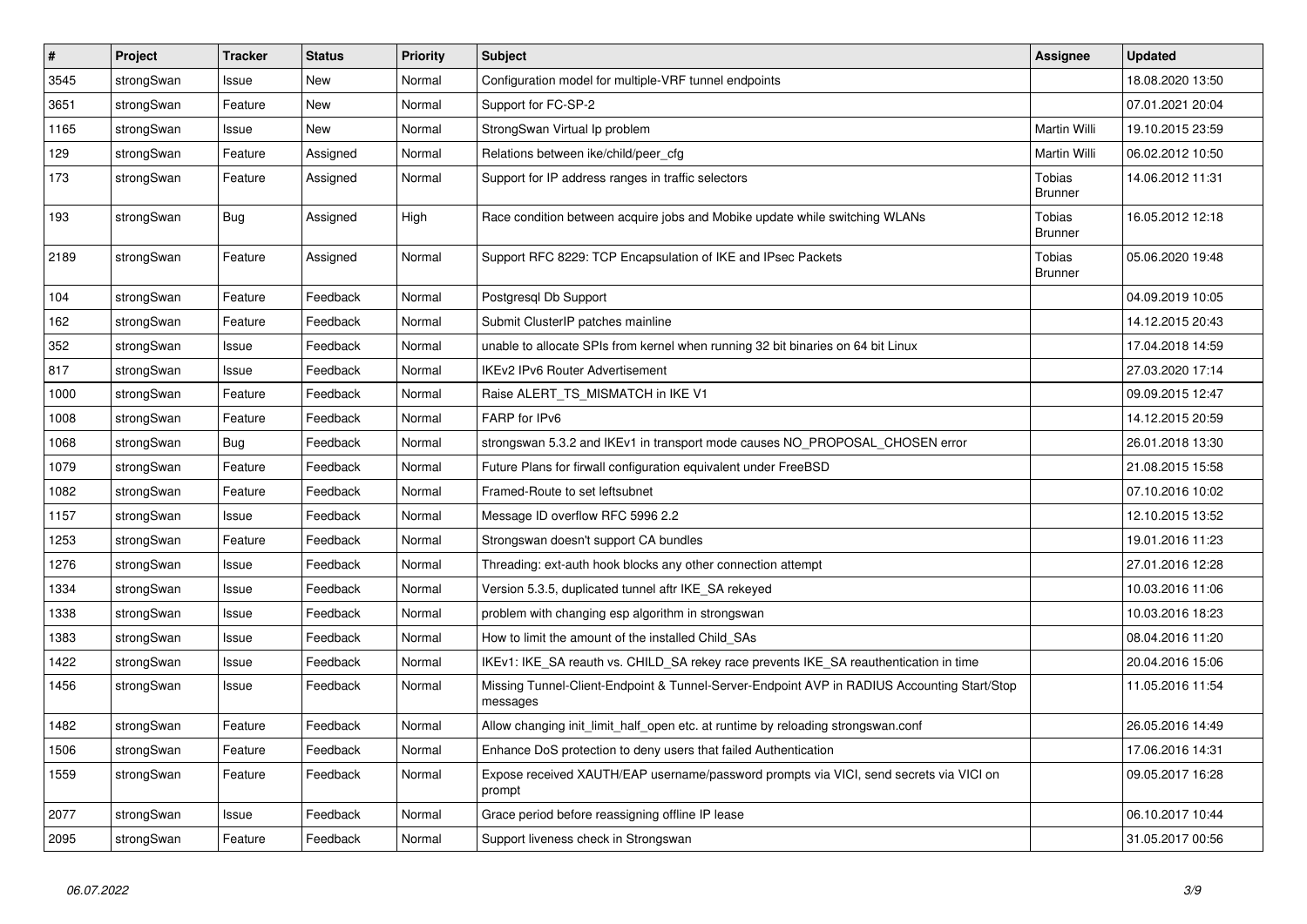| $\sharp$ | Project    | <b>Tracker</b> | <b>Status</b> | <b>Priority</b> | <b>Subject</b>                                                                                          | <b>Assignee</b>          | <b>Updated</b>   |
|----------|------------|----------------|---------------|-----------------|---------------------------------------------------------------------------------------------------------|--------------------------|------------------|
| 3545     | strongSwan | Issue          | <b>New</b>    | Normal          | Configuration model for multiple-VRF tunnel endpoints                                                   |                          | 18.08.2020 13:50 |
| 3651     | strongSwan | Feature        | <b>New</b>    | Normal          | Support for FC-SP-2                                                                                     |                          | 07.01.2021 20:04 |
| 1165     | strongSwan | Issue          | <b>New</b>    | Normal          | StrongSwan Virtual Ip problem                                                                           | Martin Willi             | 19.10.2015 23:59 |
| 129      | strongSwan | Feature        | Assigned      | Normal          | Relations between ike/child/peer_cfg                                                                    | Martin Willi             | 06.02.2012 10:50 |
| 173      | strongSwan | Feature        | Assigned      | Normal          | Support for IP address ranges in traffic selectors                                                      | Tobias<br><b>Brunner</b> | 14.06.2012 11:31 |
| 193      | strongSwan | Bug            | Assigned      | High            | Race condition between acquire jobs and Mobike update while switching WLANs                             | Tobias<br><b>Brunner</b> | 16.05.2012 12:18 |
| 2189     | strongSwan | Feature        | Assigned      | Normal          | Support RFC 8229: TCP Encapsulation of IKE and IPsec Packets                                            | Tobias<br><b>Brunner</b> | 05.06.2020 19:48 |
| 104      | strongSwan | Feature        | Feedback      | Normal          | Postgresql Db Support                                                                                   |                          | 04.09.2019 10:05 |
| 162      | strongSwan | Feature        | Feedback      | Normal          | Submit ClusterIP patches mainline                                                                       |                          | 14.12.2015 20:43 |
| 352      | strongSwan | Issue          | Feedback      | Normal          | unable to allocate SPIs from kernel when running 32 bit binaries on 64 bit Linux                        |                          | 17.04.2018 14:59 |
| 817      | strongSwan | Issue          | Feedback      | Normal          | IKEv2 IPv6 Router Advertisement                                                                         |                          | 27.03.2020 17:14 |
| 1000     | strongSwan | Feature        | Feedback      | Normal          | Raise ALERT_TS_MISMATCH in IKE V1                                                                       |                          | 09.09.2015 12:47 |
| 1008     | strongSwan | Feature        | Feedback      | Normal          | FARP for IPv6                                                                                           |                          | 14.12.2015 20:59 |
| 1068     | strongSwan | Bug            | Feedback      | Normal          | strongswan 5.3.2 and IKEv1 in transport mode causes NO_PROPOSAL_CHOSEN error                            |                          | 26.01.2018 13:30 |
| 1079     | strongSwan | Feature        | Feedback      | Normal          | Future Plans for firwall configuration equivalent under FreeBSD                                         |                          | 21.08.2015 15:58 |
| 1082     | strongSwan | Feature        | Feedback      | Normal          | Framed-Route to set leftsubnet                                                                          |                          | 07.10.2016 10:02 |
| 1157     | strongSwan | Issue          | Feedback      | Normal          | Message ID overflow RFC 5996 2.2                                                                        |                          | 12.10.2015 13:52 |
| 1253     | strongSwan | Feature        | Feedback      | Normal          | Strongswan doesn't support CA bundles                                                                   |                          | 19.01.2016 11:23 |
| 1276     | strongSwan | Issue          | Feedback      | Normal          | Threading: ext-auth hook blocks any other connection attempt                                            |                          | 27.01.2016 12:28 |
| 1334     | strongSwan | Issue          | Feedback      | Normal          | Version 5.3.5, duplicated tunnel aftr IKE SA rekeyed                                                    |                          | 10.03.2016 11:06 |
| 1338     | strongSwan | Issue          | Feedback      | Normal          | problem with changing esp algorithm in strongswan                                                       |                          | 10.03.2016 18:23 |
| 1383     | strongSwan | Issue          | Feedback      | Normal          | How to limit the amount of the installed Child_SAs                                                      |                          | 08.04.2016 11:20 |
| 1422     | strongSwan | Issue          | Feedback      | Normal          | IKEv1: IKE_SA reauth vs. CHILD_SA rekey race prevents IKE_SA reauthentication in time                   |                          | 20.04.2016 15:06 |
| 1456     | strongSwan | Issue          | Feedback      | Normal          | Missing Tunnel-Client-Endpoint & Tunnel-Server-Endpoint AVP in RADIUS Accounting Start/Stop<br>messages |                          | 11.05.2016 11:54 |
| 1482     | strongSwan | Feature        | Feedback      | Normal          | Allow changing init_limit_half_open etc. at runtime by reloading strongswan.conf                        |                          | 26.05.2016 14:49 |
| 1506     | strongSwan | Feature        | Feedback      | Normal          | Enhance DoS protection to deny users that failed Authentication                                         |                          | 17.06.2016 14:31 |
| 1559     | strongSwan | Feature        | Feedback      | Normal          | Expose received XAUTH/EAP username/password prompts via VICI, send secrets via VICI on<br>prompt        |                          | 09.05.2017 16:28 |
| 2077     | strongSwan | Issue          | Feedback      | Normal          | Grace period before reassigning offline IP lease                                                        |                          | 06.10.2017 10:44 |
| 2095     | strongSwan | Feature        | Feedback      | Normal          | Support liveness check in Strongswan                                                                    |                          | 31.05.2017 00:56 |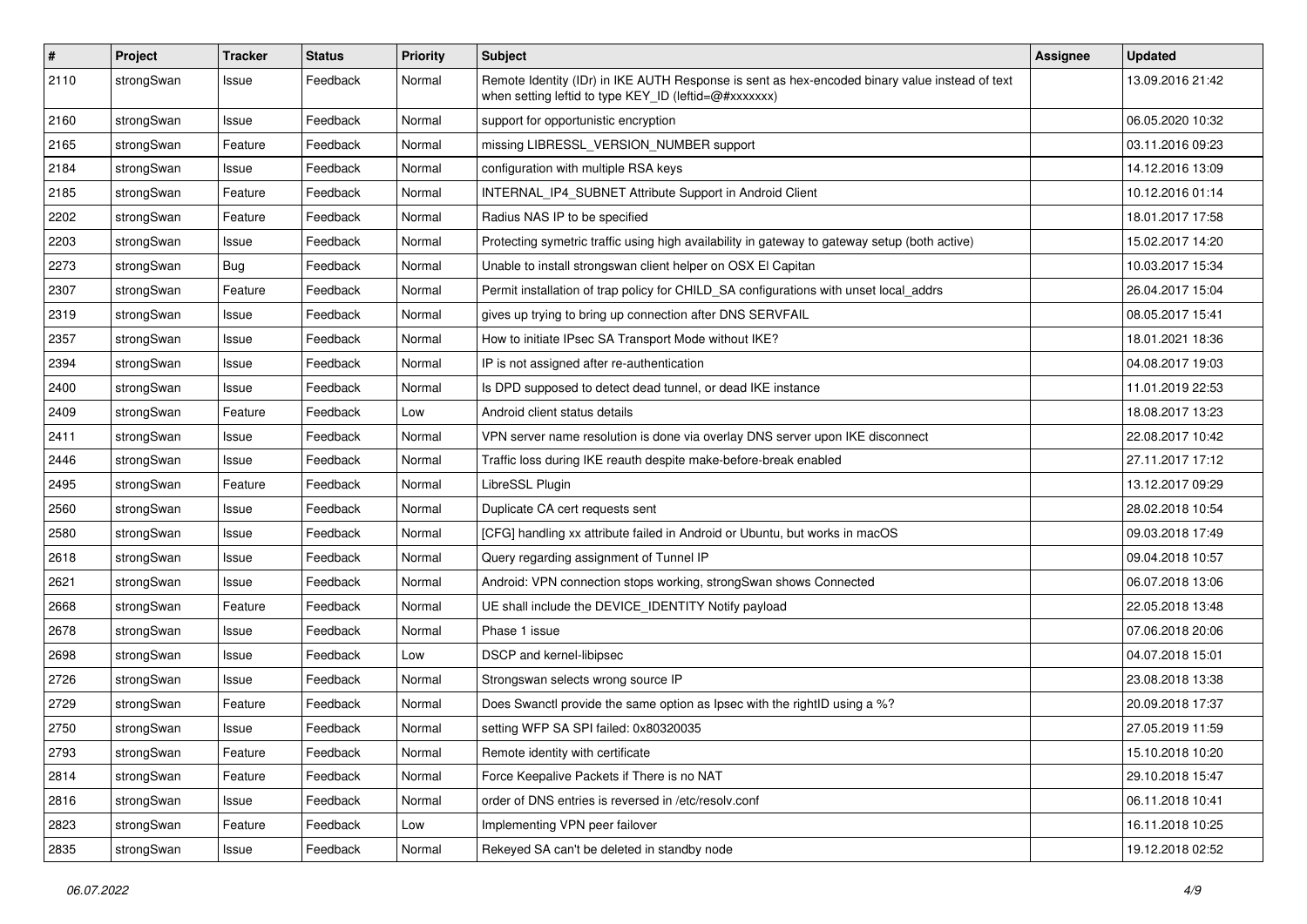| $\vert$ # | Project    | <b>Tracker</b> | <b>Status</b> | <b>Priority</b> | <b>Subject</b>                                                                                                                                          | <b>Assignee</b> | <b>Updated</b>   |
|-----------|------------|----------------|---------------|-----------------|---------------------------------------------------------------------------------------------------------------------------------------------------------|-----------------|------------------|
| 2110      | strongSwan | Issue          | Feedback      | Normal          | Remote Identity (IDr) in IKE AUTH Response is sent as hex-encoded binary value instead of text<br>when setting leftid to type KEY ID (leftid=@#xxxxxxx) |                 | 13.09.2016 21:42 |
| 2160      | strongSwan | Issue          | Feedback      | Normal          | support for opportunistic encryption                                                                                                                    |                 | 06.05.2020 10:32 |
| 2165      | strongSwan | Feature        | Feedback      | Normal          | missing LIBRESSL_VERSION_NUMBER support                                                                                                                 |                 | 03.11.2016 09:23 |
| 2184      | strongSwan | Issue          | Feedback      | Normal          | configuration with multiple RSA keys                                                                                                                    |                 | 14.12.2016 13:09 |
| 2185      | strongSwan | Feature        | Feedback      | Normal          | INTERNAL_IP4_SUBNET Attribute Support in Android Client                                                                                                 |                 | 10.12.2016 01:14 |
| 2202      | strongSwan | Feature        | Feedback      | Normal          | Radius NAS IP to be specified                                                                                                                           |                 | 18.01.2017 17:58 |
| 2203      | strongSwan | Issue          | Feedback      | Normal          | Protecting symetric traffic using high availability in gateway to gateway setup (both active)                                                           |                 | 15.02.2017 14:20 |
| 2273      | strongSwan | Bug            | Feedback      | Normal          | Unable to install strongswan client helper on OSX El Capitan                                                                                            |                 | 10.03.2017 15:34 |
| 2307      | strongSwan | Feature        | Feedback      | Normal          | Permit installation of trap policy for CHILD_SA configurations with unset local_addrs                                                                   |                 | 26.04.2017 15:04 |
| 2319      | strongSwan | Issue          | Feedback      | Normal          | gives up trying to bring up connection after DNS SERVFAIL                                                                                               |                 | 08.05.2017 15:41 |
| 2357      | strongSwan | Issue          | Feedback      | Normal          | How to initiate IPsec SA Transport Mode without IKE?                                                                                                    |                 | 18.01.2021 18:36 |
| 2394      | strongSwan | Issue          | Feedback      | Normal          | IP is not assigned after re-authentication                                                                                                              |                 | 04.08.2017 19:03 |
| 2400      | strongSwan | Issue          | Feedback      | Normal          | Is DPD supposed to detect dead tunnel, or dead IKE instance                                                                                             |                 | 11.01.2019 22:53 |
| 2409      | strongSwan | Feature        | Feedback      | Low             | Android client status details                                                                                                                           |                 | 18.08.2017 13:23 |
| 2411      | strongSwan | Issue          | Feedback      | Normal          | VPN server name resolution is done via overlay DNS server upon IKE disconnect                                                                           |                 | 22.08.2017 10:42 |
| 2446      | strongSwan | Issue          | Feedback      | Normal          | Traffic loss during IKE reauth despite make-before-break enabled                                                                                        |                 | 27.11.2017 17:12 |
| 2495      | strongSwan | Feature        | Feedback      | Normal          | LibreSSL Plugin                                                                                                                                         |                 | 13.12.2017 09:29 |
| 2560      | strongSwan | Issue          | Feedback      | Normal          | Duplicate CA cert requests sent                                                                                                                         |                 | 28.02.2018 10:54 |
| 2580      | strongSwan | Issue          | Feedback      | Normal          | [CFG] handling xx attribute failed in Android or Ubuntu, but works in macOS                                                                             |                 | 09.03.2018 17:49 |
| 2618      | strongSwan | Issue          | Feedback      | Normal          | Query regarding assignment of Tunnel IP                                                                                                                 |                 | 09.04.2018 10:57 |
| 2621      | strongSwan | Issue          | Feedback      | Normal          | Android: VPN connection stops working, strongSwan shows Connected                                                                                       |                 | 06.07.2018 13:06 |
| 2668      | strongSwan | Feature        | Feedback      | Normal          | UE shall include the DEVICE_IDENTITY Notify payload                                                                                                     |                 | 22.05.2018 13:48 |
| 2678      | strongSwan | Issue          | Feedback      | Normal          | Phase 1 issue                                                                                                                                           |                 | 07.06.2018 20:06 |
| 2698      | strongSwan | Issue          | Feedback      | Low             | DSCP and kernel-libipsec                                                                                                                                |                 | 04.07.2018 15:01 |
| 2726      | strongSwan | Issue          | Feedback      | Normal          | Strongswan selects wrong source IP                                                                                                                      |                 | 23.08.2018 13:38 |
| 2729      | strongSwan | Feature        | Feedback      | Normal          | Does Swanctl provide the same option as Ipsec with the rightID using a %?                                                                               |                 | 20.09.2018 17:37 |
| 2750      | strongSwan | Issue          | Feedback      | Normal          | setting WFP SA SPI failed: 0x80320035                                                                                                                   |                 | 27.05.2019 11:59 |
| 2793      | strongSwan | Feature        | Feedback      | Normal          | Remote identity with certificate                                                                                                                        |                 | 15.10.2018 10:20 |
| 2814      | strongSwan | Feature        | Feedback      | Normal          | Force Keepalive Packets if There is no NAT                                                                                                              |                 | 29.10.2018 15:47 |
| 2816      | strongSwan | Issue          | Feedback      | Normal          | order of DNS entries is reversed in /etc/resolv.conf                                                                                                    |                 | 06.11.2018 10:41 |
| 2823      | strongSwan | Feature        | Feedback      | Low             | Implementing VPN peer failover                                                                                                                          |                 | 16.11.2018 10:25 |
| 2835      | strongSwan | Issue          | Feedback      | Normal          | Rekeyed SA can't be deleted in standby node                                                                                                             |                 | 19.12.2018 02:52 |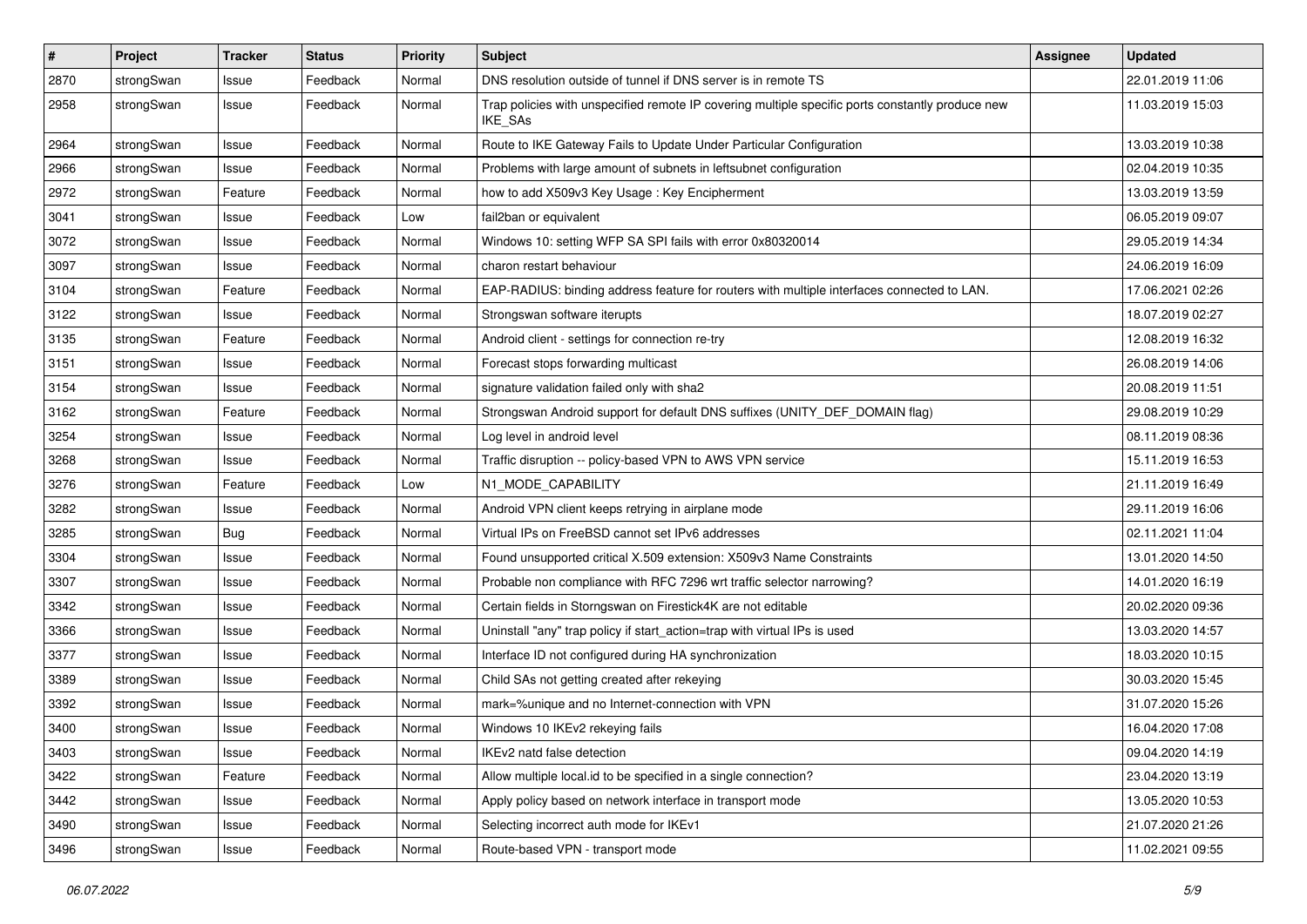| $\pmb{\#}$ | Project    | <b>Tracker</b> | <b>Status</b> | <b>Priority</b> | <b>Subject</b>                                                                                              | Assignee | <b>Updated</b>   |
|------------|------------|----------------|---------------|-----------------|-------------------------------------------------------------------------------------------------------------|----------|------------------|
| 2870       | strongSwan | Issue          | Feedback      | Normal          | DNS resolution outside of tunnel if DNS server is in remote TS                                              |          | 22.01.2019 11:06 |
| 2958       | strongSwan | Issue          | Feedback      | Normal          | Trap policies with unspecified remote IP covering multiple specific ports constantly produce new<br>IKE_SAs |          | 11.03.2019 15:03 |
| 2964       | strongSwan | Issue          | Feedback      | Normal          | Route to IKE Gateway Fails to Update Under Particular Configuration                                         |          | 13.03.2019 10:38 |
| 2966       | strongSwan | Issue          | Feedback      | Normal          | Problems with large amount of subnets in leftsubnet configuration                                           |          | 02.04.2019 10:35 |
| 2972       | strongSwan | Feature        | Feedback      | Normal          | how to add X509v3 Key Usage: Key Encipherment                                                               |          | 13.03.2019 13:59 |
| 3041       | strongSwan | Issue          | Feedback      | Low             | fail2ban or equivalent                                                                                      |          | 06.05.2019 09:07 |
| 3072       | strongSwan | Issue          | Feedback      | Normal          | Windows 10: setting WFP SA SPI fails with error 0x80320014                                                  |          | 29.05.2019 14:34 |
| 3097       | strongSwan | Issue          | Feedback      | Normal          | charon restart behaviour                                                                                    |          | 24.06.2019 16:09 |
| 3104       | strongSwan | Feature        | Feedback      | Normal          | EAP-RADIUS: binding address feature for routers with multiple interfaces connected to LAN.                  |          | 17.06.2021 02:26 |
| 3122       | strongSwan | Issue          | Feedback      | Normal          | Strongswan software iterupts                                                                                |          | 18.07.2019 02:27 |
| 3135       | strongSwan | Feature        | Feedback      | Normal          | Android client - settings for connection re-try                                                             |          | 12.08.2019 16:32 |
| 3151       | strongSwan | Issue          | Feedback      | Normal          | Forecast stops forwarding multicast                                                                         |          | 26.08.2019 14:06 |
| 3154       | strongSwan | Issue          | Feedback      | Normal          | signature validation failed only with sha2                                                                  |          | 20.08.2019 11:51 |
| 3162       | strongSwan | Feature        | Feedback      | Normal          | Strongswan Android support for default DNS suffixes (UNITY_DEF_DOMAIN flag)                                 |          | 29.08.2019 10:29 |
| 3254       | strongSwan | Issue          | Feedback      | Normal          | Log level in android level                                                                                  |          | 08.11.2019 08:36 |
| 3268       | strongSwan | lssue          | Feedback      | Normal          | Traffic disruption -- policy-based VPN to AWS VPN service                                                   |          | 15.11.2019 16:53 |
| 3276       | strongSwan | Feature        | Feedback      | Low             | N1_MODE_CAPABILITY                                                                                          |          | 21.11.2019 16:49 |
| 3282       | strongSwan | Issue          | Feedback      | Normal          | Android VPN client keeps retrying in airplane mode                                                          |          | 29.11.2019 16:06 |
| 3285       | strongSwan | <b>Bug</b>     | Feedback      | Normal          | Virtual IPs on FreeBSD cannot set IPv6 addresses                                                            |          | 02.11.2021 11:04 |
| 3304       | strongSwan | Issue          | Feedback      | Normal          | Found unsupported critical X.509 extension: X509v3 Name Constraints                                         |          | 13.01.2020 14:50 |
| 3307       | strongSwan | lssue          | Feedback      | Normal          | Probable non compliance with RFC 7296 wrt traffic selector narrowing?                                       |          | 14.01.2020 16:19 |
| 3342       | strongSwan | Issue          | Feedback      | Normal          | Certain fields in Storngswan on Firestick4K are not editable                                                |          | 20.02.2020 09:36 |
| 3366       | strongSwan | Issue          | Feedback      | Normal          | Uninstall "any" trap policy if start_action=trap with virtual IPs is used                                   |          | 13.03.2020 14:57 |
| 3377       | strongSwan | Issue          | Feedback      | Normal          | Interface ID not configured during HA synchronization                                                       |          | 18.03.2020 10:15 |
| 3389       | strongSwan | Issue          | Feedback      | Normal          | Child SAs not getting created after rekeying                                                                |          | 30.03.2020 15:45 |
| 3392       | strongSwan | Issue          | Feedback      | Normal          | mark=%unique and no Internet-connection with VPN                                                            |          | 31.07.2020 15:26 |
| 3400       | strongSwan | Issue          | Feedback      | Normal          | Windows 10 IKEv2 rekeying fails                                                                             |          | 16.04.2020 17:08 |
| 3403       | strongSwan | Issue          | Feedback      | Normal          | IKEv2 natd false detection                                                                                  |          | 09.04.2020 14:19 |
| 3422       | strongSwan | Feature        | Feedback      | Normal          | Allow multiple local.id to be specified in a single connection?                                             |          | 23.04.2020 13:19 |
| 3442       | strongSwan | Issue          | Feedback      | Normal          | Apply policy based on network interface in transport mode                                                   |          | 13.05.2020 10:53 |
| 3490       | strongSwan | Issue          | Feedback      | Normal          | Selecting incorrect auth mode for IKEv1                                                                     |          | 21.07.2020 21:26 |
| 3496       | strongSwan | Issue          | Feedback      | Normal          | Route-based VPN - transport mode                                                                            |          | 11.02.2021 09:55 |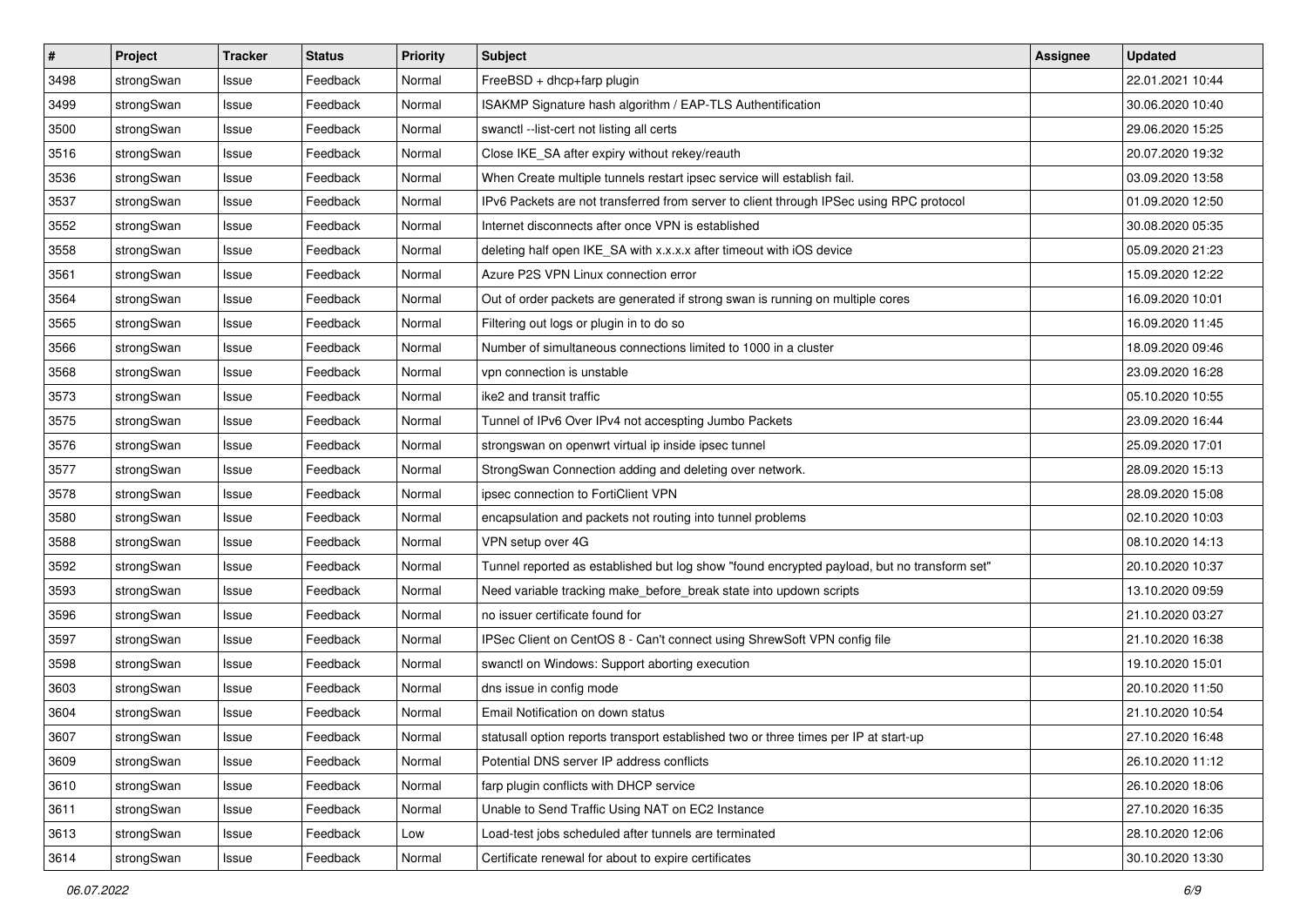| $\pmb{\#}$ | Project    | <b>Tracker</b> | <b>Status</b> | <b>Priority</b> | <b>Subject</b>                                                                              | <b>Assignee</b> | <b>Updated</b>   |
|------------|------------|----------------|---------------|-----------------|---------------------------------------------------------------------------------------------|-----------------|------------------|
| 3498       | strongSwan | Issue          | Feedback      | Normal          | FreeBSD + dhcp+farp plugin                                                                  |                 | 22.01.2021 10:44 |
| 3499       | strongSwan | Issue          | Feedback      | Normal          | ISAKMP Signature hash algorithm / EAP-TLS Authentification                                  |                 | 30.06.2020 10:40 |
| 3500       | strongSwan | Issue          | Feedback      | Normal          | swanctl --list-cert not listing all certs                                                   |                 | 29.06.2020 15:25 |
| 3516       | strongSwan | Issue          | Feedback      | Normal          | Close IKE_SA after expiry without rekey/reauth                                              |                 | 20.07.2020 19:32 |
| 3536       | strongSwan | Issue          | Feedback      | Normal          | When Create multiple tunnels restart ipsec service will establish fail.                     |                 | 03.09.2020 13:58 |
| 3537       | strongSwan | Issue          | Feedback      | Normal          | IPv6 Packets are not transferred from server to client through IPSec using RPC protocol     |                 | 01.09.2020 12:50 |
| 3552       | strongSwan | Issue          | Feedback      | Normal          | Internet disconnects after once VPN is established                                          |                 | 30.08.2020 05:35 |
| 3558       | strongSwan | Issue          | Feedback      | Normal          | deleting half open IKE_SA with x.x.x.x after timeout with iOS device                        |                 | 05.09.2020 21:23 |
| 3561       | strongSwan | Issue          | Feedback      | Normal          | Azure P2S VPN Linux connection error                                                        |                 | 15.09.2020 12:22 |
| 3564       | strongSwan | Issue          | Feedback      | Normal          | Out of order packets are generated if strong swan is running on multiple cores              |                 | 16.09.2020 10:01 |
| 3565       | strongSwan | Issue          | Feedback      | Normal          | Filtering out logs or plugin in to do so                                                    |                 | 16.09.2020 11:45 |
| 3566       | strongSwan | Issue          | Feedback      | Normal          | Number of simultaneous connections limited to 1000 in a cluster                             |                 | 18.09.2020 09:46 |
| 3568       | strongSwan | Issue          | Feedback      | Normal          | vpn connection is unstable                                                                  |                 | 23.09.2020 16:28 |
| 3573       | strongSwan | Issue          | Feedback      | Normal          | ike2 and transit traffic                                                                    |                 | 05.10.2020 10:55 |
| 3575       | strongSwan | Issue          | Feedback      | Normal          | Tunnel of IPv6 Over IPv4 not accespting Jumbo Packets                                       |                 | 23.09.2020 16:44 |
| 3576       | strongSwan | Issue          | Feedback      | Normal          | strongswan on openwrt virtual ip inside ipsec tunnel                                        |                 | 25.09.2020 17:01 |
| 3577       | strongSwan | Issue          | Feedback      | Normal          | StrongSwan Connection adding and deleting over network.                                     |                 | 28.09.2020 15:13 |
| 3578       | strongSwan | Issue          | Feedback      | Normal          | ipsec connection to FortiClient VPN                                                         |                 | 28.09.2020 15:08 |
| 3580       | strongSwan | Issue          | Feedback      | Normal          | encapsulation and packets not routing into tunnel problems                                  |                 | 02.10.2020 10:03 |
| 3588       | strongSwan | Issue          | Feedback      | Normal          | VPN setup over 4G                                                                           |                 | 08.10.2020 14:13 |
| 3592       | strongSwan | Issue          | Feedback      | Normal          | Tunnel reported as established but log show "found encrypted payload, but no transform set" |                 | 20.10.2020 10:37 |
| 3593       | strongSwan | Issue          | Feedback      | Normal          | Need variable tracking make_before_break state into updown scripts                          |                 | 13.10.2020 09:59 |
| 3596       | strongSwan | Issue          | Feedback      | Normal          | no issuer certificate found for                                                             |                 | 21.10.2020 03:27 |
| 3597       | strongSwan | Issue          | Feedback      | Normal          | IPSec Client on CentOS 8 - Can't connect using ShrewSoft VPN config file                    |                 | 21.10.2020 16:38 |
| 3598       | strongSwan | Issue          | Feedback      | Normal          | swanctl on Windows: Support aborting execution                                              |                 | 19.10.2020 15:01 |
| 3603       | strongSwan | Issue          | Feedback      | Normal          | dns issue in config mode                                                                    |                 | 20.10.2020 11:50 |
| 3604       | strongSwan | Issue          | Feedback      | Normal          | Email Notification on down status                                                           |                 | 21.10.2020 10:54 |
| 3607       | strongSwan | Issue          | Feedback      | Normal          | statusall option reports transport established two or three times per IP at start-up        |                 | 27.10.2020 16:48 |
| 3609       | strongSwan | Issue          | Feedback      | Normal          | Potential DNS server IP address conflicts                                                   |                 | 26.10.2020 11:12 |
| 3610       | strongSwan | Issue          | Feedback      | Normal          | farp plugin conflicts with DHCP service                                                     |                 | 26.10.2020 18:06 |
| 3611       | strongSwan | Issue          | Feedback      | Normal          | Unable to Send Traffic Using NAT on EC2 Instance                                            |                 | 27.10.2020 16:35 |
| 3613       | strongSwan | Issue          | Feedback      | Low             | Load-test jobs scheduled after tunnels are terminated                                       |                 | 28.10.2020 12:06 |
| 3614       | strongSwan | Issue          | Feedback      | Normal          | Certificate renewal for about to expire certificates                                        |                 | 30.10.2020 13:30 |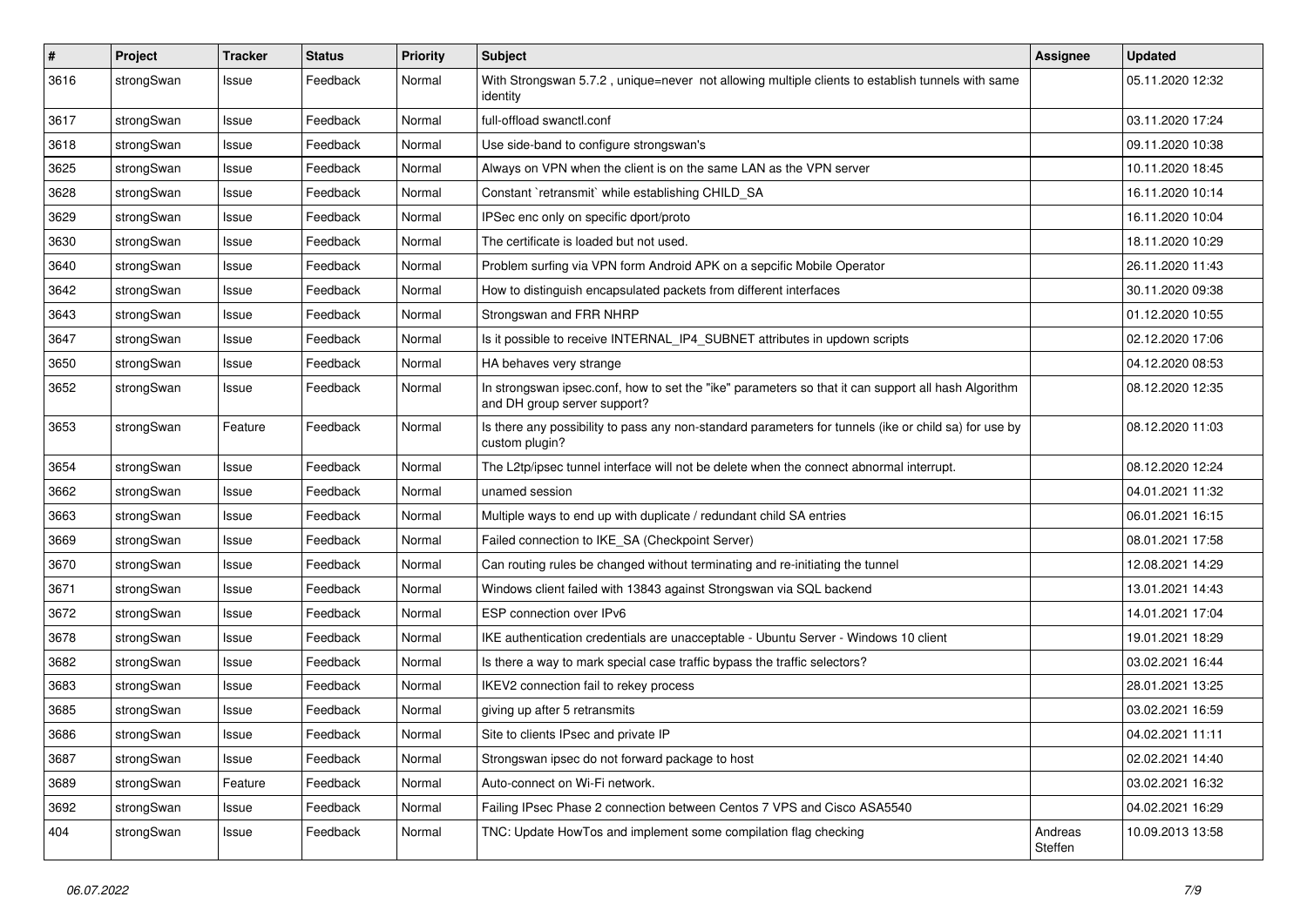| $\sharp$ | Project    | <b>Tracker</b> | <b>Status</b> | <b>Priority</b> | <b>Subject</b>                                                                                                                      | <b>Assignee</b>    | <b>Updated</b>   |
|----------|------------|----------------|---------------|-----------------|-------------------------------------------------------------------------------------------------------------------------------------|--------------------|------------------|
| 3616     | strongSwan | Issue          | Feedback      | Normal          | With Strongswan 5.7.2, unique=never not allowing multiple clients to establish tunnels with same<br>identity                        |                    | 05.11.2020 12:32 |
| 3617     | strongSwan | Issue          | Feedback      | Normal          | full-offload swanctl.conf                                                                                                           |                    | 03.11.2020 17:24 |
| 3618     | strongSwan | Issue          | Feedback      | Normal          | Use side-band to configure strongswan's                                                                                             |                    | 09.11.2020 10:38 |
| 3625     | strongSwan | Issue          | Feedback      | Normal          | Always on VPN when the client is on the same LAN as the VPN server                                                                  |                    | 10.11.2020 18:45 |
| 3628     | strongSwan | Issue          | Feedback      | Normal          | Constant `retransmit` while establishing CHILD_SA                                                                                   |                    | 16.11.2020 10:14 |
| 3629     | strongSwan | Issue          | Feedback      | Normal          | IPSec enc only on specific dport/proto                                                                                              |                    | 16.11.2020 10:04 |
| 3630     | strongSwan | Issue          | Feedback      | Normal          | The certificate is loaded but not used.                                                                                             |                    | 18.11.2020 10:29 |
| 3640     | strongSwan | Issue          | Feedback      | Normal          | Problem surfing via VPN form Android APK on a sepcific Mobile Operator                                                              |                    | 26.11.2020 11:43 |
| 3642     | strongSwan | Issue          | Feedback      | Normal          | How to distinguish encapsulated packets from different interfaces                                                                   |                    | 30.11.2020 09:38 |
| 3643     | strongSwan | Issue          | Feedback      | Normal          | Strongswan and FRR NHRP                                                                                                             |                    | 01.12.2020 10:55 |
| 3647     | strongSwan | Issue          | Feedback      | Normal          | Is it possible to receive INTERNAL_IP4_SUBNET attributes in updown scripts                                                          |                    | 02.12.2020 17:06 |
| 3650     | strongSwan | Issue          | Feedback      | Normal          | HA behaves very strange                                                                                                             |                    | 04.12.2020 08:53 |
| 3652     | strongSwan | Issue          | Feedback      | Normal          | In strongswan ipsec.conf, how to set the "ike" parameters so that it can support all hash Algorithm<br>and DH group server support? |                    | 08.12.2020 12:35 |
| 3653     | strongSwan | Feature        | Feedback      | Normal          | Is there any possibility to pass any non-standard parameters for tunnels (ike or child sa) for use by<br>custom plugin?             |                    | 08.12.2020 11:03 |
| 3654     | strongSwan | Issue          | Feedback      | Normal          | The L2tp/ipsec tunnel interface will not be delete when the connect abnormal interrupt.                                             |                    | 08.12.2020 12:24 |
| 3662     | strongSwan | Issue          | Feedback      | Normal          | unamed session                                                                                                                      |                    | 04.01.2021 11:32 |
| 3663     | strongSwan | Issue          | Feedback      | Normal          | Multiple ways to end up with duplicate / redundant child SA entries                                                                 |                    | 06.01.2021 16:15 |
| 3669     | strongSwan | Issue          | Feedback      | Normal          | Failed connection to IKE_SA (Checkpoint Server)                                                                                     |                    | 08.01.2021 17:58 |
| 3670     | strongSwan | Issue          | Feedback      | Normal          | Can routing rules be changed without terminating and re-initiating the tunnel                                                       |                    | 12.08.2021 14:29 |
| 3671     | strongSwan | Issue          | Feedback      | Normal          | Windows client failed with 13843 against Strongswan via SQL backend                                                                 |                    | 13.01.2021 14:43 |
| 3672     | strongSwan | Issue          | Feedback      | Normal          | ESP connection over IPv6                                                                                                            |                    | 14.01.2021 17:04 |
| 3678     | strongSwan | Issue          | Feedback      | Normal          | IKE authentication credentials are unacceptable - Ubuntu Server - Windows 10 client                                                 |                    | 19.01.2021 18:29 |
| 3682     | strongSwan | Issue          | Feedback      | Normal          | Is there a way to mark special case traffic bypass the traffic selectors?                                                           |                    | 03.02.2021 16:44 |
| 3683     | strongSwan | Issue          | Feedback      | Normal          | IKEV2 connection fail to rekey process                                                                                              |                    | 28.01.2021 13:25 |
| 3685     | strongSwan | Issue          | Feedback      | Normal          | giving up after 5 retransmits                                                                                                       |                    | 03.02.2021 16:59 |
| 3686     | strongSwan | Issue          | Feedback      | Normal          | Site to clients IPsec and private IP                                                                                                |                    | 04.02.2021 11:11 |
| 3687     | strongSwan | Issue          | Feedback      | Normal          | Strongswan ipsec do not forward package to host                                                                                     |                    | 02.02.2021 14:40 |
| 3689     | strongSwan | Feature        | Feedback      | Normal          | Auto-connect on Wi-Fi network.                                                                                                      |                    | 03.02.2021 16:32 |
| 3692     | strongSwan | Issue          | Feedback      | Normal          | Failing IPsec Phase 2 connection between Centos 7 VPS and Cisco ASA5540                                                             |                    | 04.02.2021 16:29 |
| 404      | strongSwan | Issue          | Feedback      | Normal          | TNC: Update HowTos and implement some compilation flag checking                                                                     | Andreas<br>Steffen | 10.09.2013 13:58 |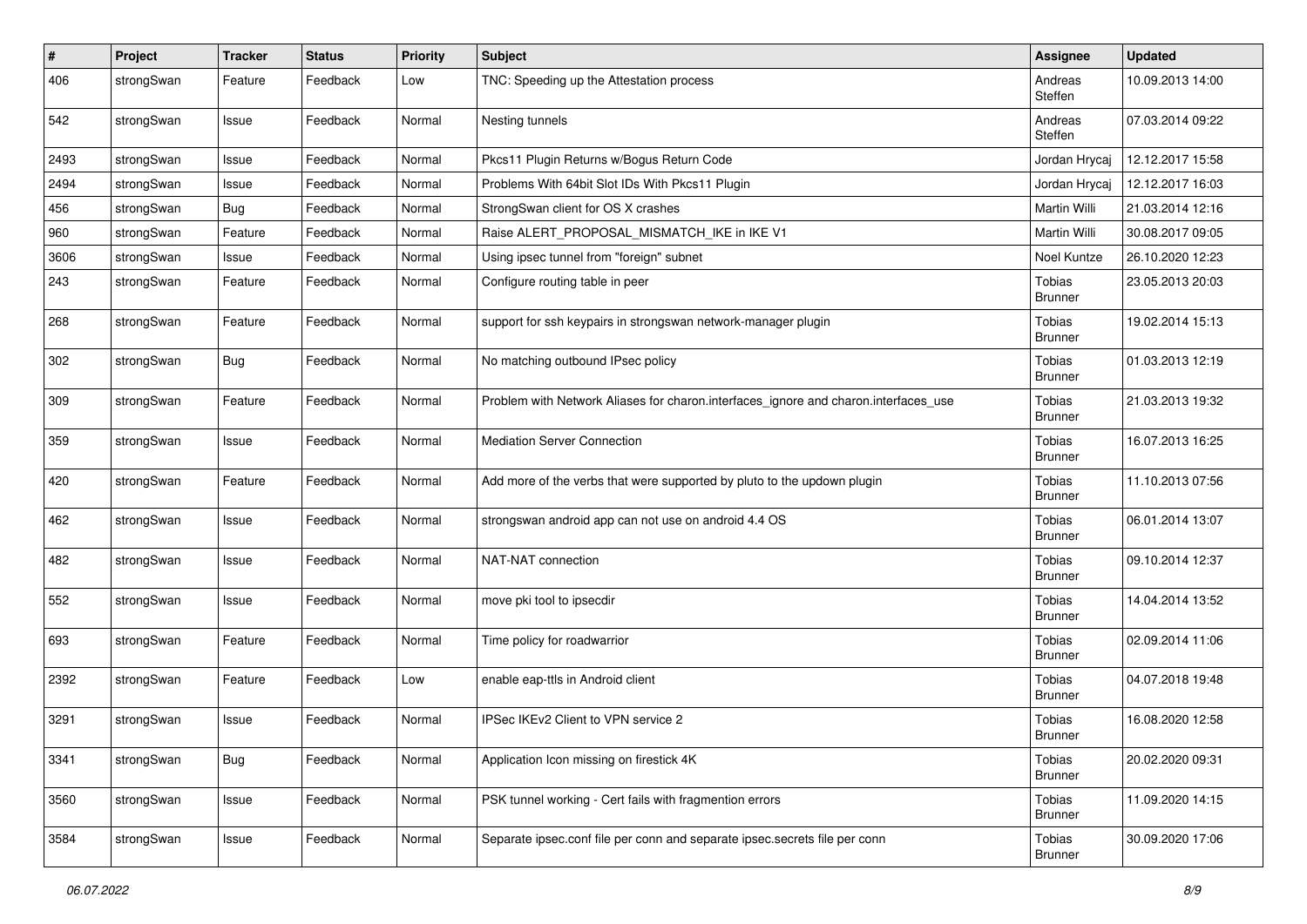| #    | Project    | <b>Tracker</b> | <b>Status</b> | <b>Priority</b> | <b>Subject</b>                                                                      | <b>Assignee</b>                 | <b>Updated</b>   |
|------|------------|----------------|---------------|-----------------|-------------------------------------------------------------------------------------|---------------------------------|------------------|
| 406  | strongSwan | Feature        | Feedback      | Low             | TNC: Speeding up the Attestation process                                            | Andreas<br>Steffen              | 10.09.2013 14:00 |
| 542  | strongSwan | Issue          | Feedback      | Normal          | Nesting tunnels                                                                     | Andreas<br>Steffen              | 07.03.2014 09:22 |
| 2493 | strongSwan | Issue          | Feedback      | Normal          | Pkcs11 Plugin Returns w/Bogus Return Code                                           | Jordan Hrycaj                   | 12.12.2017 15:58 |
| 2494 | strongSwan | Issue          | Feedback      | Normal          | Problems With 64bit Slot IDs With Pkcs11 Plugin                                     | Jordan Hrycaj                   | 12.12.2017 16:03 |
| 456  | strongSwan | <b>Bug</b>     | Feedback      | Normal          | StrongSwan client for OS X crashes                                                  | Martin Willi                    | 21.03.2014 12:16 |
| 960  | strongSwan | Feature        | Feedback      | Normal          | Raise ALERT_PROPOSAL_MISMATCH_IKE in IKE V1                                         | Martin Willi                    | 30.08.2017 09:05 |
| 3606 | strongSwan | Issue          | Feedback      | Normal          | Using ipsec tunnel from "foreign" subnet                                            | Noel Kuntze                     | 26.10.2020 12:23 |
| 243  | strongSwan | Feature        | Feedback      | Normal          | Configure routing table in peer                                                     | Tobias<br><b>Brunner</b>        | 23.05.2013 20:03 |
| 268  | strongSwan | Feature        | Feedback      | Normal          | support for ssh keypairs in strongswan network-manager plugin                       | Tobias<br><b>Brunner</b>        | 19.02.2014 15:13 |
| 302  | strongSwan | Bug            | Feedback      | Normal          | No matching outbound IPsec policy                                                   | Tobias<br>Brunner               | 01.03.2013 12:19 |
| 309  | strongSwan | Feature        | Feedback      | Normal          | Problem with Network Aliases for charon.interfaces_ignore and charon.interfaces_use | Tobias<br><b>Brunner</b>        | 21.03.2013 19:32 |
| 359  | strongSwan | Issue          | Feedback      | Normal          | Mediation Server Connection                                                         | Tobias<br><b>Brunner</b>        | 16.07.2013 16:25 |
| 420  | strongSwan | Feature        | Feedback      | Normal          | Add more of the verbs that were supported by pluto to the updown plugin             | Tobias<br><b>Brunner</b>        | 11.10.2013 07:56 |
| 462  | strongSwan | Issue          | Feedback      | Normal          | strongswan android app can not use on android 4.4 OS                                | Tobias<br><b>Brunner</b>        | 06.01.2014 13:07 |
| 482  | strongSwan | Issue          | Feedback      | Normal          | NAT-NAT connection                                                                  | Tobias<br><b>Brunner</b>        | 09.10.2014 12:37 |
| 552  | strongSwan | Issue          | Feedback      | Normal          | move pki tool to ipsecdir                                                           | Tobias<br><b>Brunner</b>        | 14.04.2014 13:52 |
| 693  | strongSwan | Feature        | Feedback      | Normal          | Time policy for roadwarrior                                                         | Tobias<br><b>Brunner</b>        | 02.09.2014 11:06 |
| 2392 | strongSwan | Feature        | Feedback      | Low             | enable eap-ttls in Android client                                                   | Tobias<br><b>Brunner</b>        | 04.07.2018 19:48 |
| 3291 | strongSwan | Issue          | Feedback      | Normal          | IPSec IKEv2 Client to VPN service 2                                                 | Tobias<br>Brunner               | 16.08.2020 12:58 |
| 3341 | strongSwan | Bug            | Feedback      | Normal          | Application Icon missing on firestick 4K                                            | <b>Tobias</b><br><b>Brunner</b> | 20.02.2020 09:31 |
| 3560 | strongSwan | Issue          | Feedback      | Normal          | PSK tunnel working - Cert fails with fragmention errors                             | Tobias<br><b>Brunner</b>        | 11.09.2020 14:15 |
| 3584 | strongSwan | Issue          | Feedback      | Normal          | Separate ipsec.conf file per conn and separate ipsec.secrets file per conn          | <b>Tobias</b><br><b>Brunner</b> | 30.09.2020 17:06 |